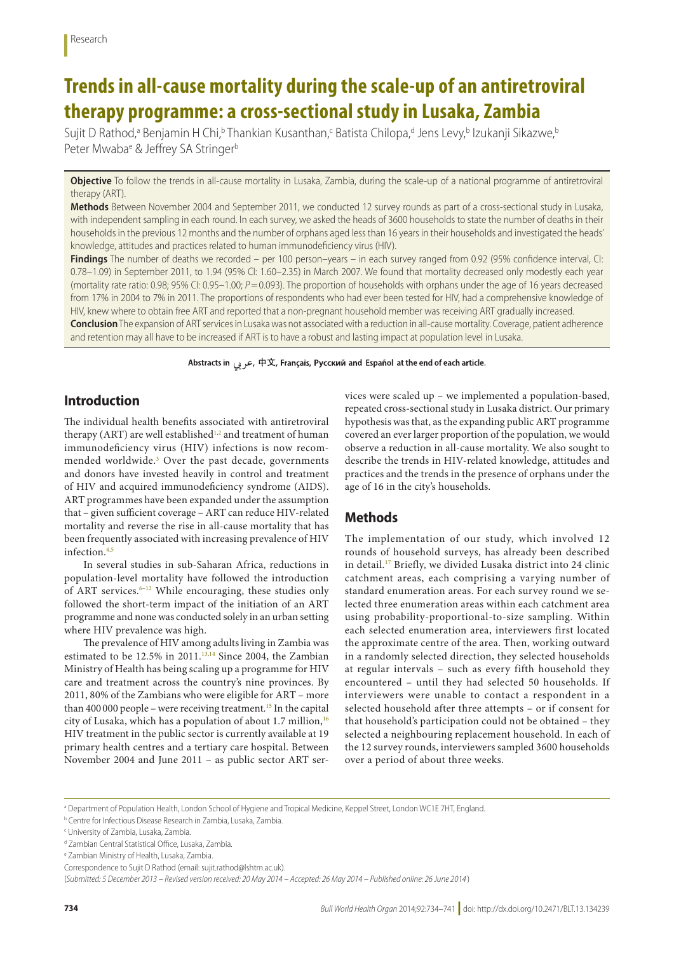# **Trends in all-cause mortality during the scale-up of an antiretroviral therapy programme: a cross-sectional study in Lusaka, Zambia**

Sujit D Rathod,<sup>a</sup> Benjamin H Chi,<sup>b</sup> Thankian Kusanthan,<sup>c</sup> Batista Chilopa,<sup>d</sup> Jens Levy,<sup>b</sup> Izukanji Sikazwe,<sup>t</sup> Peter Mwaba<sup>e</sup> & Jeffrey SA Stringer<sup>b</sup>

**Objective** To follow the trends in all-cause mortality in Lusaka, Zambia, during the scale-up of a national programme of antiretroviral therapy (ART).

**Methods** Between November 2004 and September 2011, we conducted 12 survey rounds as part of a cross-sectional study in Lusaka, with independent sampling in each round. In each survey, we asked the heads of 3600 households to state the number of deaths in their households in the previous 12 months and the number of orphans aged less than 16 years in their households and investigated the heads' knowledge, attitudes and practices related to human immunodeficiency virus (HIV).

**Findings** The number of deaths we recorded – per 100 person–years – in each survey ranged from 0.92 (95% confidence interval, CI: 0.78–1.09) in September 2011, to 1.94 (95% CI: 1.60–2.35) in March 2007. We found that mortality decreased only modestly each year (mortality rate ratio: 0.98; 95% CI: 0.95–1.00; *P*=0.093). The proportion of households with orphans under the age of 16 years decreased from 17% in 2004 to 7% in 2011. The proportions of respondents who had ever been tested for HIV, had a comprehensive knowledge of HIV, knew where to obtain free ART and reported that a non-pregnant household member was receiving ART gradually increased.

**Conclusion** The expansion of ART services in Lusaka was not associated with a reduction in all-cause mortality. Coverage, patient adherence and retention may all have to be increased if ART is to have a robust and lasting impact at population level in Lusaka.

Abstracts in عربی, 中文, Français, Русский and Español at the end of each article.

# **Introduction**

The individual health benefits associated with antiretroviral therapy (ART) are well established<sup>[1,](#page-6-0)[2](#page-6-1)</sup> and treatment of human immunodeficiency virus (HIV) infections is now recommended worldwide.[3](#page-6-2) Over the past decade, governments and donors have invested heavily in control and treatment of HIV and acquired immunodeficiency syndrome (AIDS). ART programmes have been expanded under the assumption that – given sufficient coverage – ART can reduce HIV-related mortality and reverse the rise in all-cause mortality that has been frequently associated with increasing prevalence of HIV infection.[4,](#page-6-3)[5](#page-6-4)

In several studies in sub-Saharan Africa, reductions in population-level mortality have followed the introduction of ART services. $6-12$  $6-12$  While encouraging, these studies only followed the short-term impact of the initiation of an ART programme and none was conducted solely in an urban setting where HIV prevalence was high.

The prevalence of HIV among adults living in Zambia was estimated to be 12.5% in 2011.<sup>[13](#page-7-1),[14](#page-7-2)</sup> Since 2004, the Zambian Ministry of Health has being scaling up a programme for HIV care and treatment across the country's nine provinces. By 2011, 80% of the Zambians who were eligible for ART – more than 400 000 people – were receiving treatment.<sup>[15](#page-7-3)</sup> In the capital city of Lusaka, which has a population of about 1.7 million, $16$ HIV treatment in the public sector is currently available at 19 primary health centres and a tertiary care hospital. Between November 2004 and June 2011 – as public sector ART services were scaled up – we implemented a population-based, repeated cross-sectional study in Lusaka district. Our primary hypothesis was that, as the expanding public ART programme covered an ever larger proportion of the population, we would observe a reduction in all-cause mortality. We also sought to describe the trends in HIV-related knowledge, attitudes and practices and the trends in the presence of orphans under the age of 16 in the city's households.

# **Methods**

The implementation of our study, which involved 12 rounds of household surveys, has already been described in detail.[17](#page-7-5) Briefly, we divided Lusaka district into 24 clinic catchment areas, each comprising a varying number of standard enumeration areas. For each survey round we selected three enumeration areas within each catchment area using probability-proportional-to-size sampling. Within each selected enumeration area, interviewers first located the approximate centre of the area. Then, working outward in a randomly selected direction, they selected households at regular intervals – such as every fifth household they encountered – until they had selected 50 households. If interviewers were unable to contact a respondent in a selected household after three attempts – or if consent for that household's participation could not be obtained – they selected a neighbouring replacement household. In each of the 12 survey rounds, interviewers sampled 3600 households over a period of about three weeks.

a Department of Population Health, London School of Hygiene and Tropical Medicine, Keppel Street, London WC1E 7HT, England.

b Centre for Infectious Disease Research in Zambia, Lusaka, Zambia.

c University of Zambia, Lusaka, Zambia.

d Zambian Central Statistical Office, Lusaka, Zambia.

e Zambian Ministry of Health, Lusaka, Zambia.

Correspondence to Sujit D Rathod (email: sujit.rathod@lshtm.ac.uk).

<sup>(</sup>*Submitted: 5 December 2013 – Revised version received: 20 May 2014 – Accepted: 26 May 2014 – Published online: 26 June 2014* )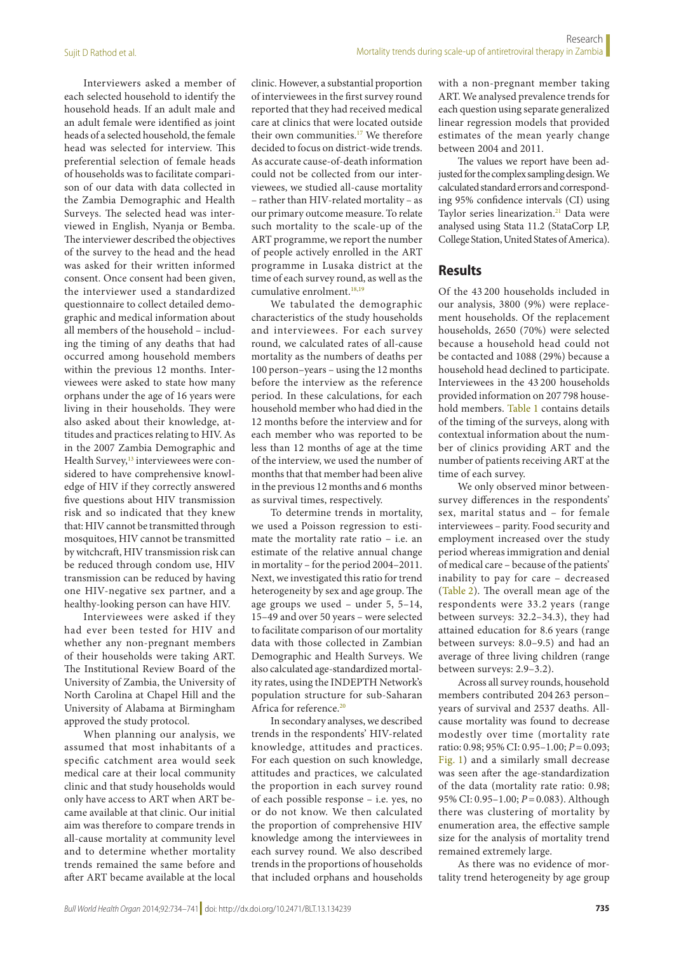Interviewers asked a member of each selected household to identify the household heads. If an adult male and an adult female were identified as joint heads of a selected household, the female head was selected for interview. This preferential selection of female heads of households was to facilitate comparison of our data with data collected in the Zambia Demographic and Health Surveys. The selected head was interviewed in English, Nyanja or Bemba. The interviewer described the objectives of the survey to the head and the head was asked for their written informed consent. Once consent had been given, the interviewer used a standardized questionnaire to collect detailed demographic and medical information about all members of the household – including the timing of any deaths that had occurred among household members within the previous 12 months. Interviewees were asked to state how many orphans under the age of 16 years were living in their households. They were also asked about their knowledge, attitudes and practices relating to HIV. As in the 2007 Zambia Demographic and Health Survey,<sup>[13](#page-7-1)</sup> interviewees were considered to have comprehensive knowledge of HIV if they correctly answered five questions about HIV transmission risk and so indicated that they knew that: HIV cannot be transmitted through mosquitoes, HIV cannot be transmitted by witchcraft, HIV transmission risk can be reduced through condom use, HIV transmission can be reduced by having one HIV-negative sex partner, and a healthy-looking person can have HIV.

Interviewees were asked if they had ever been tested for HIV and whether any non-pregnant members of their households were taking ART. The Institutional Review Board of the University of Zambia, the University of North Carolina at Chapel Hill and the University of Alabama at Birmingham approved the study protocol.

When planning our analysis, we assumed that most inhabitants of a specific catchment area would seek medical care at their local community clinic and that study households would only have access to ART when ART became available at that clinic. Our initial aim was therefore to compare trends in all-cause mortality at community level and to determine whether mortality trends remained the same before and after ART became available at the local

clinic. However, a substantial proportion of interviewees in the first survey round reported that they had received medical care at clinics that were located outside their own communities.<sup>17</sup> We therefore decided to focus on district-wide trends. As accurate cause-of-death information could not be collected from our interviewees, we studied all-cause mortality – rather than HIV-related mortality – as our primary outcome measure. To relate such mortality to the scale-up of the ART programme, we report the number of people actively enrolled in the ART programme in Lusaka district at the time of each survey round, as well as the cumulative enrolment.<sup>[18](#page-7-6),[19](#page-7-7)</sup>

We tabulated the demographic characteristics of the study households and interviewees. For each survey round, we calculated rates of all-cause mortality as the numbers of deaths per 100 person–years – using the 12 months before the interview as the reference period. In these calculations, for each household member who had died in the 12 months before the interview and for each member who was reported to be less than 12 months of age at the time of the interview, we used the number of months that that member had been alive in the previous 12 months and 6 months as survival times, respectively.

To determine trends in mortality, we used a Poisson regression to estimate the mortality rate ratio – i.e. an estimate of the relative annual change in mortality – for the period 2004–2011. Next, we investigated this ratio for trend heterogeneity by sex and age group. The age groups we used – under 5, 5–14, 15–49 and over 50 years – were selected to facilitate comparison of our mortality data with those collected in Zambian Demographic and Health Surveys. We also calculated age-standardized mortality rates, using the INDEPTH Network's population structure for sub-Saharan Africa for reference.<sup>[20](#page-7-8)</sup>

In secondary analyses, we described trends in the respondents' HIV-related knowledge, attitudes and practices. For each question on such knowledge, attitudes and practices, we calculated the proportion in each survey round of each possible response – i.e. yes, no or do not know. We then calculated the proportion of comprehensive HIV knowledge among the interviewees in each survey round. We also described trends in the proportions of households that included orphans and households

with a non-pregnant member taking ART. We analysed prevalence trends for each question using separate generalized linear regression models that provided

estimates of the mean yearly change

between 2004 and 2011. The values we report have been adjusted for the complex sampling design. We calculated standard errors and corresponding 95% confidence intervals (CI) using Taylor series linearization.<sup>21</sup> Data were analysed using Stata 11.2 (StataCorp LP, College Station, United States of America).

# **Results**

Of the 43 200 households included in our analysis, 3800 (9%) were replacement households. Of the replacement households, 2650 (70%) were selected because a household head could not be contacted and 1088 (29%) because a household head declined to participate. Interviewees in the 43 200 households provided information on 207 798 household members. [Table](#page-2-0) 1 contains details of the timing of the surveys, along with contextual information about the number of clinics providing ART and the number of patients receiving ART at the time of each survey.

We only observed minor betweensurvey differences in the respondents' sex, marital status and – for female interviewees – parity. Food security and employment increased over the study period whereas immigration and denial of medical care – because of the patients' inability to pay for care – decreased ([Table](#page-2-1) 2). The overall mean age of the respondents were 33.2 years (range between surveys: 32.2–34.3), they had attained education for 8.6 years (range between surveys: 8.0–9.5) and had an average of three living children (range between surveys: 2.9–3.2).

Across all survey rounds, household members contributed 204 263 person– years of survival and 2537 deaths. Allcause mortality was found to decrease modestly over time (mortality rate ratio: 0.98; 95% CI: 0.95–1.00; *P*=0.093; [Fig.](#page-3-0) 1) and a similarly small decrease was seen after the age-standardization of the data (mortality rate ratio: 0.98; 95% CI: 0.95–1.00; *P*=0.083). Although there was clustering of mortality by enumeration area, the effective sample size for the analysis of mortality trend remained extremely large.

As there was no evidence of mortality trend heterogeneity by age group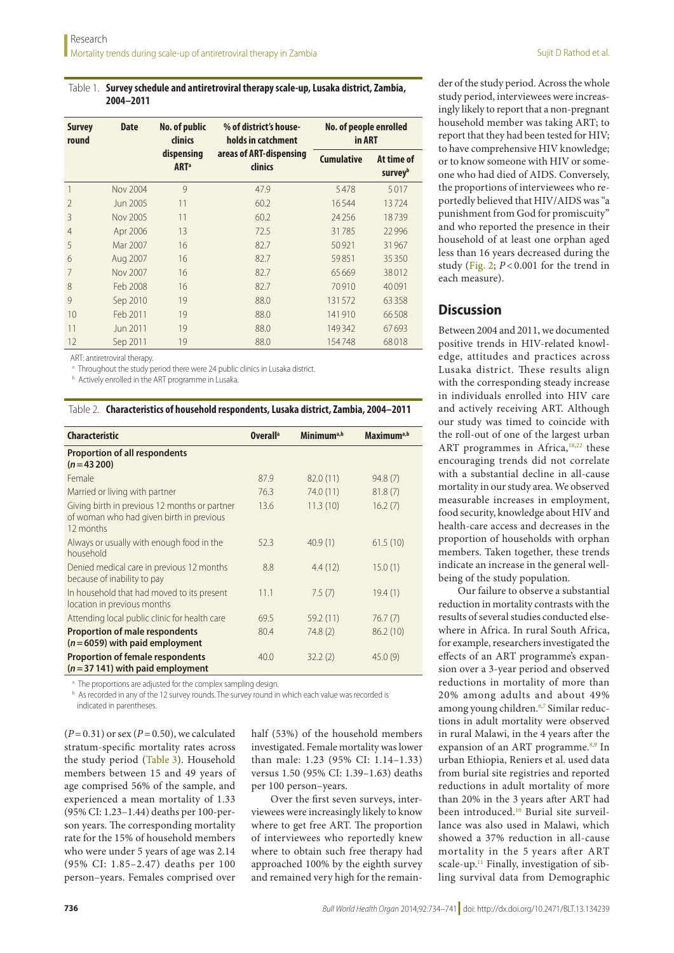#### <span id="page-2-0"></span>Table 1. **Survey schedule and antiretroviral therapy scale-up, Lusaka district, Zambia, 2004–2011**

| <b>Survey</b><br>round | <b>Date</b>     | <b>No. of public</b><br>clinics                                             | % of district's house-<br>holds in catchment | No. of people enrolled<br>in ART |                       |
|------------------------|-----------------|-----------------------------------------------------------------------------|----------------------------------------------|----------------------------------|-----------------------|
|                        |                 | areas of ART-dispensing<br>dispensing<br>clinics<br><b>ART</b> <sup>a</sup> |                                              | <b>Cumulative</b>                | At time of<br>surveyb |
| 1                      | <b>Nov 2004</b> | 9                                                                           | 47.9                                         | 5478                             | 5017                  |
| $\overline{2}$         | Jun 2005        | 11                                                                          | 60.2                                         | 16544                            | 13724                 |
| 3                      | Nov 2005        | 11                                                                          | 60.2                                         | 24256                            | 18739                 |
| 4                      | Apr 2006        | 13                                                                          | 72.5                                         | 31785                            | 22996                 |
| 5                      | Mar 2007        | 16                                                                          | 82.7                                         | 50921                            | 31967                 |
| 6                      | Aug 2007        | 16                                                                          | 82.7                                         | 59851                            | 35350                 |
| 7                      | <b>Nov 2007</b> | 16                                                                          | 82.7                                         | 65669                            | 38012                 |
| 8                      | Feb 2008        | 16                                                                          | 82.7                                         | 70910                            | 40091                 |
| 9                      | Sep 2010        | 19                                                                          | 88.0                                         | 131572                           | 63358                 |
| 10                     | Feb 2011        | 19                                                                          | 88.0                                         | 141910                           | 66508                 |
| 11                     | Jun 2011        | 19                                                                          | 88.0                                         | 149342                           | 67693                 |
| 12                     | Sep 2011        | 19                                                                          | 88.0                                         | 154748                           | 68018                 |

ART: antiretroviral therapy.

<sup>a</sup> Throughout the study period there were 24 public clinics in Lusaka district.

**b** Actively enrolled in the ART programme in Lusaka.

| <b>Characteristic</b>                                                                                  | Overall <sup>a</sup> | Minimum <sup>a,b</sup> | Maximum <sup>a,b</sup> |
|--------------------------------------------------------------------------------------------------------|----------------------|------------------------|------------------------|
| <b>Proportion of all respondents</b><br>$(n=43200)$                                                    |                      |                        |                        |
| Female                                                                                                 | 87.9                 | 82.0(11)               | 94.8(7)                |
| Married or living with partner                                                                         | 76.3                 | 74.0 (11)              | 81.8(7)                |
| Giving birth in previous 12 months or partner<br>of woman who had given birth in previous<br>12 months | 13.6                 | 11.3(10)               | 16.2(7)                |
| Always or usually with enough food in the<br>household                                                 | 52.3                 | 40.9(1)                | 61.5(10)               |
| Denied medical care in previous 12 months<br>because of inability to pay                               | 8.8                  | 4.4(12)                | 15.0(1)                |
| In household that had moved to its present<br>location in previous months                              | 11.1                 | 7.5(7)                 | 19.4(1)                |
| Attending local public clinic for health care                                                          | 69.5                 | 59.2(11)               | 76.7(7)                |
| <b>Proportion of male respondents</b><br>$(n=6059)$ with paid employment                               | 80.4                 | 74.8(2)                | 86.2(10)               |
| <b>Proportion of female respondents</b><br>$(n=37141)$ with paid employment                            | 40.0                 | 32.2(2)                | 45.0(9)                |

<span id="page-2-1"></span>Table 2. **Characteristics of household respondents, Lusaka district, Zambia, 2004–2011**

<sup>a</sup> The proportions are adjusted for the complex sampling design.

b As recorded in any of the 12 survey rounds. The survey round in which each value was recorded is indicated in parentheses.

(*P*=0.31) or sex (*P*=0.50), we calculated stratum-specific mortality rates across the study period ([Table](#page-3-1) 3). Household members between 15 and 49 years of age comprised 56% of the sample, and experienced a mean mortality of 1.33 (95% CI: 1.23–1.44) deaths per 100-person years. The corresponding mortality rate for the 15% of household members who were under 5 years of age was 2.14 (95% CI: 1.85–2.47) deaths per 100 person–years. Females comprised over

half (53%) of the household members investigated. Female mortality was lower than male: 1.23 (95% CI: 1.14–1.33) versus 1.50 (95% CI: 1.39–1.63) deaths per 100 person–years.

Over the first seven surveys, interviewees were increasingly likely to know where to get free ART. The proportion of interviewees who reportedly knew where to obtain such free therapy had approached 100% by the eighth survey and remained very high for the remainder of the study period. Across the whole study period, interviewees were increasingly likely to report that a non-pregnant household member was taking ART; to report that they had been tested for HIV; to have comprehensive HIV knowledge; or to know someone with HIV or someone who had died of AIDS. Conversely, the proportions of interviewees who reportedly believed that HIV/AIDS was "a punishment from God for promiscuity" and who reported the presence in their household of at least one orphan aged less than 16 years decreased during the study ([Fig.](#page-4-0) 2; *P* < 0.001 for the trend in each measure).

# **Discussion**

Between 2004 and 2011, we documented positive trends in HIV-related knowledge, attitudes and practices across Lusaka district. These results align with the corresponding steady increase in individuals enrolled into HIV care and actively receiving ART. Although our study was timed to coincide with the roll-out of one of the largest urban ART programmes in Africa, $18,22$  these encouraging trends did not correlate with a substantial decline in all-cause mortality in our study area. We observed measurable increases in employment, food security, knowledge about HIV and health-care access and decreases in the proportion of households with orphan members. Taken together, these trends indicate an increase in the general wellbeing of the study population.

Our failure to observe a substantial reduction in mortality contrasts with the results of several studies conducted elsewhere in Africa. In rural South Africa, for example, researchers investigated the effects of an ART programme's expansion over a 3-year period and observed reductions in mortality of more than 20% among adults and about 49% among young children.<sup>[6](#page-6-5),[7](#page-6-6)</sup> Similar reductions in adult mortality were observed in rural Malawi, in the 4 years after the expansion of an ART programme.<sup>[8,](#page-6-7)[9](#page-6-8)</sup> In urban Ethiopia, Reniers et al. used data from burial site registries and reported reductions in adult mortality of more than 20% in the 3 years after ART had been introduced[.10](#page-6-9) Burial site surveillance was also used in Malawi, which showed a 37% reduction in all-cause mortality in the 5 years after ART scale-up.<sup>[11](#page-6-10)</sup> Finally, investigation of sibling survival data from Demographic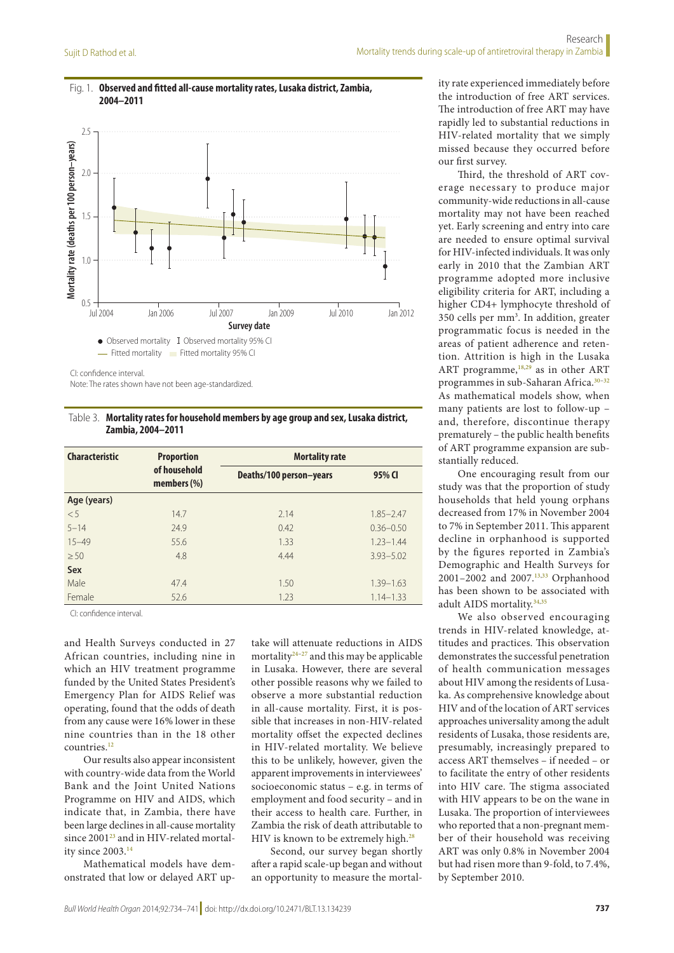

<span id="page-3-0"></span>Fig. 1. **Observed and fitted all-cause mortality rates, Lusaka district, Zambia, 2004–2011**

CI: confidence interval.

Note: The rates shown have not been age-standardized.

<span id="page-3-1"></span>Table 3. **Mortality rates for household members by age group and sex, Lusaka district, Zambia, 2004–2011**

| <b>Characteristic</b> | <b>Proportion</b>              | <b>Mortality rate</b>   |               |
|-----------------------|--------------------------------|-------------------------|---------------|
|                       | of household<br>members $(\%)$ | Deaths/100 person-years | 95% CI        |
| Age (years)           |                                |                         |               |
| < 5                   | 14.7                           | 2.14                    | $1.85 - 2.47$ |
| $5 - 14$              | 24.9                           | 0.42                    | $0.36 - 0.50$ |
| $15 - 49$             | 55.6                           | 1.33                    | $1.23 - 1.44$ |
| $\geq 50$             | 4.8                            | 4.44                    | $3.93 - 5.02$ |
| Sex                   |                                |                         |               |
| Male                  | 47.4                           | 1.50                    | $1.39 - 1.63$ |
| Female                | 52.6                           | 1.23                    | $1.14 - 1.33$ |

CI: confidence interval.

and Health Surveys conducted in 27 African countries, including nine in which an HIV treatment programme funded by the United States President's Emergency Plan for AIDS Relief was operating, found that the odds of death from any cause were 16% lower in these nine countries than in the 18 other countries.<sup>12</sup>

Our results also appear inconsistent with country-wide data from the World Bank and the Joint United Nations Programme on HIV and AIDS, which indicate that, in Zambia, there have been large declines in all-cause mortality since 2001<sup>[23](#page-7-11)</sup> and in HIV-related mortality since 2003.[14](#page-7-2)

Mathematical models have demonstrated that low or delayed ART uptake will attenuate reductions in AIDS mortality $24-27$  and this may be applicable in Lusaka. However, there are several other possible reasons why we failed to observe a more substantial reduction in all-cause mortality. First, it is possible that increases in non-HIV-related mortality offset the expected declines in HIV-related mortality. We believe this to be unlikely, however, given the apparent improvements in interviewees' socioeconomic status – e.g. in terms of employment and food security – and in their access to health care. Further, in Zambia the risk of death attributable to HIV is known to be extremely high.<sup>[28](#page-7-14)</sup>

Second, our survey began shortly after a rapid scale-up began and without an opportunity to measure the mortality rate experienced immediately before the introduction of free ART services. The introduction of free ART may have rapidly led to substantial reductions in HIV-related mortality that we simply missed because they occurred before our first survey.

Third, the threshold of ART coverage necessary to produce major community-wide reductions in all-cause mortality may not have been reached yet. Early screening and entry into care are needed to ensure optimal survival for HIV-infected individuals. It was only early in 2010 that the Zambian ART programme adopted more inclusive eligibility criteria for ART, including a higher CD4+ lymphocyte threshold of 350 cells per mm3 . In addition, greater programmatic focus is needed in the areas of patient adherence and retention. Attrition is high in the Lusaka ART programme,<sup>[18](#page-7-6),29</sup> as in other ART programmes in sub-Saharan Africa.<sup>[30](#page-7-16)-32</sup> As mathematical models show, when many patients are lost to follow-up – and, therefore, discontinue therapy prematurely – the public health benefits of ART programme expansion are substantially reduced.

One encouraging result from our study was that the proportion of study households that held young orphans decreased from 17% in November 2004 to 7% in September 2011. This apparent decline in orphanhood is supported by the figures reported in Zambia's Demographic and Health Surveys for 2001–2002 and 2007.<sup>[13,](#page-7-1)[33](#page-7-18)</sup> Orphanhood has been shown to be associated with adult AIDS mortality[.34,](#page-7-19)[35](#page-7-20)

We also observed encouraging trends in HIV-related knowledge, attitudes and practices. This observation demonstrates the successful penetration of health communication messages about HIV among the residents of Lusaka. As comprehensive knowledge about HIV and of the location of ART services approaches universality among the adult residents of Lusaka, those residents are, presumably, increasingly prepared to access ART themselves – if needed – or to facilitate the entry of other residents into HIV care. The stigma associated with HIV appears to be on the wane in Lusaka. The proportion of interviewees who reported that a non-pregnant member of their household was receiving ART was only 0.8% in November 2004 but had risen more than 9-fold, to 7.4%, by September 2010.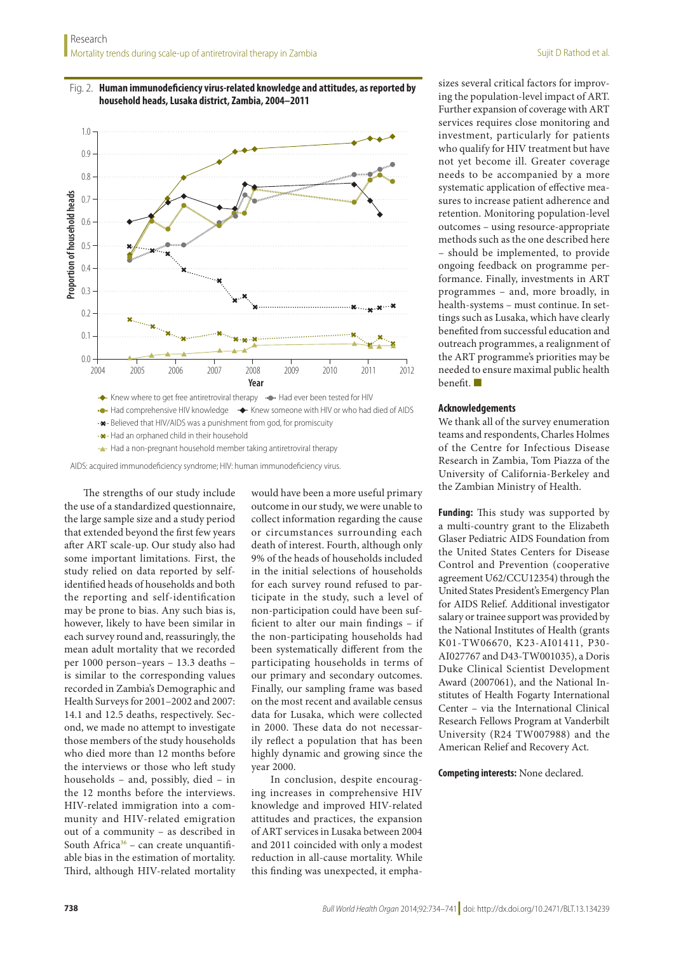<span id="page-4-0"></span>



**+\*** Had an orphaned child in their household

 $\rightarrow$  Had a non-pregnant household member taking antiretroviral therapy

AIDS: acquired immunodeficiency syndrome; HIV: human immunodeficiency virus.

The strengths of our study include the use of a standardized questionnaire, the large sample size and a study period that extended beyond the first few years after ART scale-up. Our study also had some important limitations. First, the study relied on data reported by selfidentified heads of households and both the reporting and self-identification may be prone to bias. Any such bias is, however, likely to have been similar in each survey round and, reassuringly, the mean adult mortality that we recorded per 1000 person–years – 13.3 deaths – is similar to the corresponding values recorded in Zambia's Demographic and Health Surveys for 2001–2002 and 2007: 14.1 and 12.5 deaths, respectively. Second, we made no attempt to investigate those members of the study households who died more than 12 months before the interviews or those who left study households – and, possibly, died – in the 12 months before the interviews. HIV-related immigration into a community and HIV-related emigration out of a community – as described in South Africa<sup>36</sup> – can create unquantifiable bias in the estimation of mortality. Third, although HIV-related mortality

would have been a more useful primary outcome in our study, we were unable to collect information regarding the cause or circumstances surrounding each death of interest. Fourth, although only 9% of the heads of households included in the initial selections of households for each survey round refused to participate in the study, such a level of non-participation could have been sufficient to alter our main findings – if the non-participating households had been systematically different from the participating households in terms of our primary and secondary outcomes. Finally, our sampling frame was based on the most recent and available census data for Lusaka, which were collected in 2000. These data do not necessarily reflect a population that has been highly dynamic and growing since the year 2000.

In conclusion, despite encouraging increases in comprehensive HIV knowledge and improved HIV-related attitudes and practices, the expansion of ART services in Lusaka between 2004 and 2011 coincided with only a modest reduction in all-cause mortality. While this finding was unexpected, it emphasizes several critical factors for improving the population-level impact of ART. Further expansion of coverage with ART services requires close monitoring and investment, particularly for patients who qualify for HIV treatment but have not yet become ill. Greater coverage needs to be accompanied by a more systematic application of effective measures to increase patient adherence and retention. Monitoring population-level outcomes – using resource-appropriate methods such as the one described here – should be implemented, to provide ongoing feedback on programme performance. Finally, investments in ART programmes – and, more broadly, in health-systems – must continue. In settings such as Lusaka, which have clearly benefited from successful education and outreach programmes, a realignment of the ART programme's priorities may be needed to ensure maximal public health benefit. ■

#### **Acknowledgements**

We thank all of the survey enumeration teams and respondents, Charles Holmes of the Centre for Infectious Disease Research in Zambia, Tom Piazza of the University of California-Berkeley and the Zambian Ministry of Health.

**Funding:** This study was supported by a multi-country grant to the Elizabeth Glaser Pediatric AIDS Foundation from the United States Centers for Disease Control and Prevention (cooperative agreement U62/CCU12354) through the United States President's Emergency Plan for AIDS Relief. Additional investigator salary or trainee support was provided by the National Institutes of Health (grants K01-TW06670, K23-AI01411, P30- AI027767 and D43-TW001035), a Doris Duke Clinical Scientist Development Award (2007061), and the National Institutes of Health Fogarty International Center – via the International Clinical Research Fellows Program at Vanderbilt University (R24 TW007988) and the American Relief and Recovery Act.

**Competing interests:** None declared.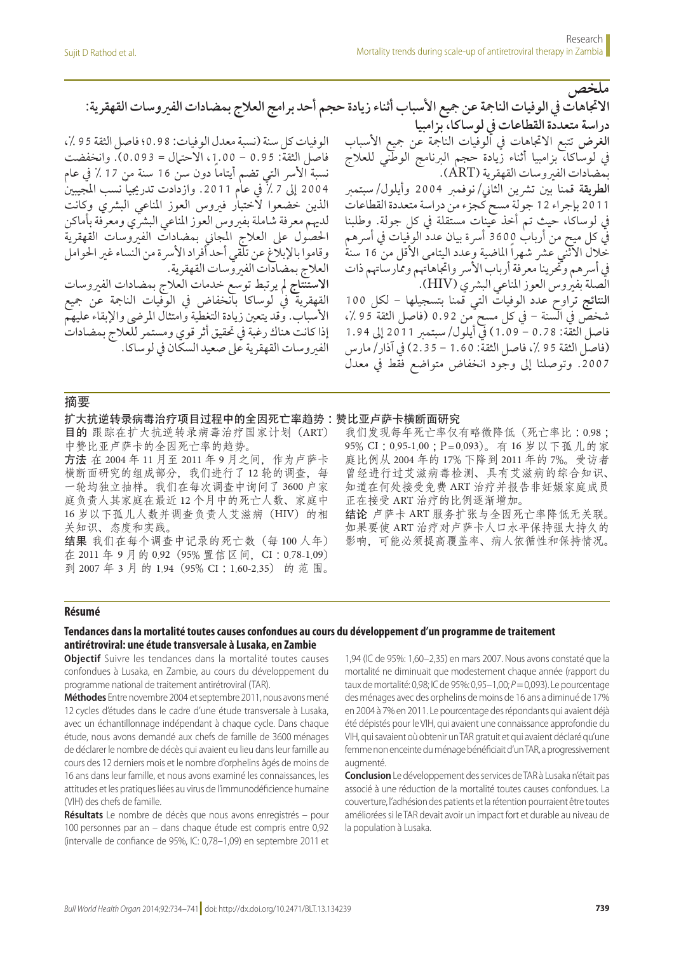**ملخص االجتاهات يف الوفيات النامجة عن مجيع األسباب أثناء زيادة حجم أحد برامج العالج بمضادات الفريوسات القهقرية: دراسة متعددة القطاعات يف لوساكا، بزامبيا الغرض** تتبع االجتاهات يف الوفيات النامجة عن مجيع األسباب يف لوساكا، بزامبيا أثناء زيادة حجم الربنامج الوطني للعالج بمضادات الفريوسات القهقرية )ART). ا**لطريقة** قمنا بين تشرين الثاني/نوفمبر 2004 وأيلول/سبتمبر 2011 بإجراء 12 جولة مسح كجزء من دراسة متعددة القطاعات يف لوساكا، حيث تم أخذ عينات مستقلة يف كل جولة. وطلبنا في كل ميح من أرباب 3600 أسرة بيان عدد الوفيات في أسرهم خلال الاثني عشر شهراً الماضية وعدد اليتامى الأقل من 16 سنة في أسر هم وتحرينا معرفة أرباب الأسر واتجاهاتهم وممارساتهم ذات الصلة بفيروس العوز المناعي البشري (HIV). **النتائج** تراوح عدد الوفيات التي قمنا بتسجيلها - لكل 100 شخص في السنة – في كل مسح من 0.92 (فاصل الثقة 95 ٪، فاصل الثقة: 0.78 - 1.09( يف أيلول/سبتمرب 2011 إىل 1.94 )فاصل الثقة 95 ،% فاصل الثقة: 1.60 - 2.35( يف آذار/مارس .2007 وتوصلنا إىل وجود انخفاض متواضع فقط يف معدل الوفيات كل سنة (نسبة معدل الوفيات: 0.98؛ فاصل الثقة 95 ٪، فاصل الثقة: 0.95 - ،1.00 االحتامل = 0.093(. وانخفضت نسبة الأسر التي تضم أيتاماً دون سن 16 سنة من 17 ٪ في عام 2004 إلى 7 ٪ في عام 2011. وازدادت تدريجيا نسب المجيبين الذين خضعوا لأختبار فىروس العوز المناعي البشري وكانت لديهم معرفة شاملة بفيروس العوز المناعي البشري ومعرفة بأماكن احلصول عىل العالج املجاين بمضادات الفريوسات القهقرية وقاموا بالإبلاغ عن تلقي أحد أفراد الأسرة من النساء غير الحوامل العالج بمضادات الفريوسات القهقرية. **االستنتاج** مل يرتبط توسع خدمات العالج بمضادات الفريوسات القهقرية يف لوساكا بانخفاض يف الوفيات النامجة عن مجيع الأسباب. وقد يتعين زيادة التغطية وامتثال المرضي والإبقاء عليهم إذا كانت هناك رغبة يف حتقيق أثر قوي ومستمر للعالج بمضادات الفريوسات القهقرية عىل صعيد السكان يف لوساكا.

## 摘要

扩大抗逆转录病毒治疗项目过程中的全因死亡率趋势 :赞比亚卢萨卡横断面研究

目的 跟踪在扩大抗逆转录病毒治疗国家计划(ART) 中赞比亚卢萨卡的全因死亡率的趋势。

方法 在 2004 年 11 月至 2011 年 9 月之间,作为卢萨卡 横断面研究的组成部分,我们进行了12轮的调查,每 一轮均独立抽样。我们在每次调查中询问了 3600 户家 庭负责人其家庭在最近 12 个月中的死亡人数、家庭中 16 岁以下孤儿人数并调查负责人艾滋病 (HIV) 的相 关知识、态度和实践。

结果 我们在每个调查中记录的死亡数(每 100 人年) 在 2011 年 9 月的 0.92(95% 置信区间,CI :0.78-1.09) 到 2007 年 3 月 的 1.94(95% CI :1.60-2.35) 的 范 围。

我们发现每年死亡率仅有略微降低(死亡率比 :0.98 ; 95% CI :0.95-1.00 ;P=0.093)。有 16 岁以下孤儿的家 庭比例从 2004 年的 17% 下降到 2011 年的 7%。受访者 曾经进行过艾滋病毒检测、具有艾滋病的综合知识、 知道在何处接受免费 ART 治疗并报告非妊娠家庭成员 正在接受 ART 治疗的比例逐渐增加。

结论 卢萨卡 ART 服务扩张与全因死亡率降低无关联。 如果要使 ART 治疗对卢萨卡人口水平保持强大持久的 影响,可能必须提高覆盖率、病人依循性和保持情况。

#### **Résumé**

## **Tendances dans la mortalité toutes causes confondues au cours du développement d'un programme de traitement antirétroviral: une étude transversale à Lusaka, en Zambie**

**Objectif** Suivre les tendances dans la mortalité toutes causes confondues à Lusaka, en Zambie, au cours du développement du programme national de traitement antirétroviral (TAR).

**Méthodes** Entre novembre 2004 et septembre 2011, nous avons mené 12 cycles d'études dans le cadre d'une étude transversale à Lusaka, avec un échantillonnage indépendant à chaque cycle. Dans chaque étude, nous avons demandé aux chefs de famille de 3600 ménages de déclarer le nombre de décès qui avaient eu lieu dans leur famille au cours des 12 derniers mois et le nombre d'orphelins âgés de moins de 16 ans dans leur famille, et nous avons examiné les connaissances, les attitudes et les pratiques liées au virus de l'immunodéficience humaine (VIH) des chefs de famille.

**Résultats** Le nombre de décès que nous avons enregistrés – pour 100 personnes par an – dans chaque étude est compris entre 0,92 (intervalle de confiance de 95%, IC: 0,78–1,09) en septembre 2011 et

1,94 (IC de 95%: 1,60–2,35) en mars 2007. Nous avons constaté que la mortalité ne diminuait que modestement chaque année (rapport du taux de mortalité: 0,98; IC de 95%: 0,95–1,00; *P*=0,093). Le pourcentage des ménages avec des orphelins de moins de 16 ans a diminué de 17% en 2004 à 7% en 2011. Le pourcentage des répondants qui avaient déjà été dépistés pour le VIH, qui avaient une connaissance approfondie du VIH, qui savaient où obtenir un TAR gratuit et qui avaient déclaré qu'une femme non enceinte du ménage bénéficiait d'un TAR, a progressivement augmenté.

**Conclusion** Le développement des services de TAR à Lusaka n'était pas associé à une réduction de la mortalité toutes causes confondues. La couverture, l'adhésion des patients et la rétention pourraient être toutes améliorées si le TAR devait avoir un impact fort et durable au niveau de la population à Lusaka.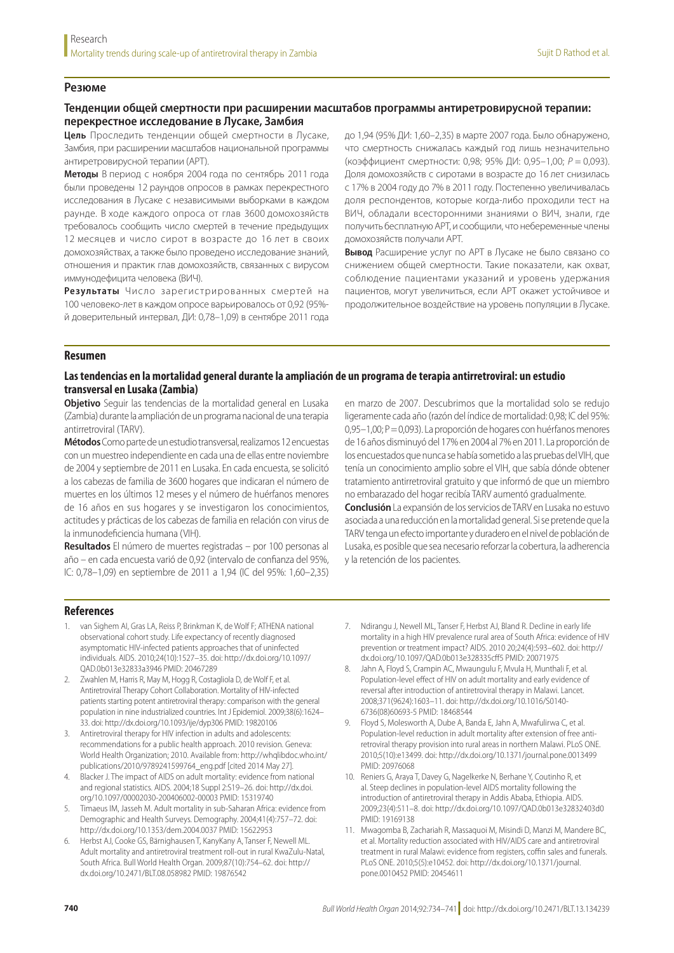### **Резюме**

# **Тенденции общей смертности при расширении масштабов программы антиретровирусной терапии: перекрестное исследование в Лусаке, Замбия**

**Цель** Проследить тенденции общей смертности в Лусаке, Замбия, при расширении масштабов национальной программы антиретровирусной терапии (АРТ).

**Методы** В период с ноября 2004 года по сентябрь 2011 года были проведены 12 раундов опросов в рамках перекрестного исследования в Лусаке с независимыми выборками в каждом раунде. В ходе каждого опроса от глав 3600 домохозяйств требовалось сообщить число смертей в течение предыдущих 12 месяцев и число сирот в возрасте до 16 лет в своих домохозяйствах, а также было проведено исследование знаний, отношения и практик глав домохозяйств, связанных с вирусом иммунодефицита человека (ВИЧ).

**Результаты** Число зарегистрированных смертей на 100 человеко-лет в каждом опросе варьировалось от 0,92 (95% й доверительный интервал, ДИ: 0,78–1,09) в сентябре 2011 года до 1,94 (95% ДИ: 1,60–2,35) в марте 2007 года. Было обнаружено, что смертность снижалась каждый год лишь незначительно (коэффициент смертности: 0,98; 95% ДИ: 0,95–1,00; *P* = 0,093). Доля домохозяйств с сиротами в возрасте до 16 лет снизилась с 17% в 2004 году до 7% в 2011 году. Постепенно увеличивалась доля респондентов, которые когда-либо проходили тест на ВИЧ, обладали всесторонними знаниями о ВИЧ, знали, где получить бесплатную АРТ, и сообщили, что небеременные члены домохозяйств получали АРТ.

**Вывод** Расширение услуг по АРТ в Лусаке не было связано со снижением общей смертности. Такие показатели, как охват, соблюдение пациентами указаний и уровень удержания пациентов, могут увеличиться, если АРТ окажет устойчивое и продолжительное воздействие на уровень популяции в Лусаке.

#### **Resumen**

## **Las tendencias en la mortalidad general durante la ampliación de un programa de terapia antirretroviral: un estudio transversal en Lusaka (Zambia)**

**Objetivo** Seguir las tendencias de la mortalidad general en Lusaka (Zambia) durante la ampliación de un programa nacional de una terapia antirretroviral (TARV).

**Métodos** Como parte de un estudio transversal, realizamos 12 encuestas con un muestreo independiente en cada una de ellas entre noviembre de 2004 y septiembre de 2011 en Lusaka. En cada encuesta, se solicitó a los cabezas de familia de 3600 hogares que indicaran el número de muertes en los últimos 12 meses y el número de huérfanos menores de 16 años en sus hogares y se investigaron los conocimientos, actitudes y prácticas de los cabezas de familia en relación con virus de la inmunodeficiencia humana (VIH).

**Resultados** El número de muertes registradas – por 100 personas al año – en cada encuesta varió de 0,92 (intervalo de confianza del 95%, IC: 0,78–1,09) en septiembre de 2011 a 1,94 (IC del 95%: 1,60–2,35) en marzo de 2007. Descubrimos que la mortalidad solo se redujo ligeramente cada año (razón del índice de mortalidad: 0,98; IC del 95%: 0,95–1,00; P=0,093). La proporción de hogares con huérfanos menores de 16 años disminuyó del 17% en 2004 al 7% en 2011. La proporción de los encuestados que nunca se había sometido a las pruebas del VIH, que tenía un conocimiento amplio sobre el VIH, que sabía dónde obtener tratamiento antirretroviral gratuito y que informó de que un miembro no embarazado del hogar recibía TARV aumentó gradualmente.

**Conclusión** La expansión de los servicios de TARV en Lusaka no estuvo asociada a una reducción en la mortalidad general. Si se pretende que la TARV tenga un efecto importante y duradero en el nivel de población de Lusaka, es posible que sea necesario reforzar la cobertura, la adherencia y la retención de los pacientes.

#### **References**

- <span id="page-6-0"></span>1. van Sighem AI, Gras LA, Reiss P, Brinkman K, de Wolf F; ATHENA national observational cohort study. Life expectancy of recently diagnosed asymptomatic HIV-infected patients approaches that of uninfected individuals. AIDS. 2010;24(10):1527–35. doi: http://dx.doi.org/10.1097/ QAD.0b013e32833a3946 PMID: 20467289
- <span id="page-6-1"></span>Zwahlen M, Harris R, May M, Hogg R, Costagliola D, de Wolf F, et al. Antiretroviral Therapy Cohort Collaboration. Mortality of HIV-infected patients starting potent antiretroviral therapy: comparison with the general population in nine industrialized countries. Int J Epidemiol. 2009;38(6):1624– 33. doi: http://dx.doi.org/10.1093/ije/dyp306 PMID: 19820106
- <span id="page-6-2"></span>3. Antiretroviral therapy for HIV infection in adults and adolescents: recommendations for a public health approach. 2010 revision. Geneva: World Health Organization; 2010. Available from: http://whqlibdoc.who.int/ publications/2010/9789241599764\_eng.pdf [cited 2014 May 27].
- <span id="page-6-3"></span>4. Blacker J. The impact of AIDS on adult mortality: evidence from national and regional statistics. AIDS. 2004;18 Suppl 2:S19–26. doi: http://dx.doi. org/10.1097/00002030-200406002-00003 PMID: 15319740
- <span id="page-6-4"></span>5. Timaeus IM, Jasseh M. Adult mortality in sub-Saharan Africa: evidence from Demographic and Health Surveys. Demography. 2004;41(4):757–72. doi: http://dx.doi.org/10.1353/dem.2004.0037 PMID: 15622953
- <span id="page-6-5"></span>Herbst AJ, Cooke GS, Bärnighausen T, KanyKany A, Tanser F, Newell ML. Adult mortality and antiretroviral treatment roll-out in rural KwaZulu-Natal, South Africa. Bull World Health Organ. 2009;87(10):754–62. doi: http:// dx.doi.org/10.2471/BLT.08.058982 PMID: 19876542
- <span id="page-6-6"></span>7. Ndirangu J, Newell ML, Tanser F, Herbst AJ, Bland R. Decline in early life mortality in a high HIV prevalence rural area of South Africa: evidence of HIV prevention or treatment impact? AIDS. 2010 20;24(4):593–602. doi: http:// dx.doi.org/10.1097/QAD.0b013e328335cff5 PMID: 20071975
- <span id="page-6-7"></span>8. Jahn A, Floyd S, Crampin AC, Mwaungulu F, Mvula H, Munthali F, et al. Population-level effect of HIV on adult mortality and early evidence of reversal after introduction of antiretroviral therapy in Malawi. Lancet. 2008;371(9624):1603–11. doi: http://dx.doi.org/10.1016/S0140- 6736(08)60693-5 PMID: 18468544
- <span id="page-6-8"></span>9. Floyd S, Molesworth A, Dube A, Banda E, Jahn A, Mwafulirwa C, et al. Population-level reduction in adult mortality after extension of free antiretroviral therapy provision into rural areas in northern Malawi. PLoS ONE. 2010;5(10):e13499. doi: http://dx.doi.org/10.1371/journal.pone.0013499 PMID: 20976068
- <span id="page-6-9"></span>10. Reniers G, Araya T, Davey G, Nagelkerke N, Berhane Y, Coutinho R, et al. Steep declines in population-level AIDS mortality following the introduction of antiretroviral therapy in Addis Ababa, Ethiopia. AIDS. 2009;23(4):511–8. doi: http://dx.doi.org/10.1097/QAD.0b013e32832403d0 PMID: 19169138
- <span id="page-6-10"></span>11. Mwagomba B, Zachariah R, Massaquoi M, Misindi D, Manzi M, Mandere BC, et al. Mortality reduction associated with HIV/AIDS care and antiretroviral treatment in rural Malawi: evidence from registers, coffin sales and funerals. PLoS ONE. 2010;5(5):e10452. doi: http://dx.doi.org/10.1371/journal. pone.0010452 PMID: 20454611